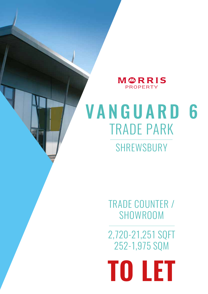MØRRIS PROPERTY

# TRADE PARK VANGUARD 6 SHREWSBURY

TRADE COUNTER / **SHOWROOM** 

2,720-21,251 SQFT 252-1,975 SQM

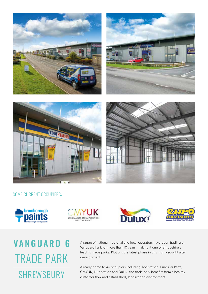







### SOME CURRENT OCCUPIERS:









## TRADE PARK VANGUARD 6 SHREWSBURY

A range of national, regional and local operators have been trading at Vanguard Park for more than 10 years, making it one of Shropshire's leading trade parks. Plot 6 is the latest phase in this highly sought after development.

Already home to 40 occupiers including Toolstation, Euro Car Parts, CMYUK, Hire station and Dulux, the trade park benefits from a healthy customer flow and established, landscaped environment.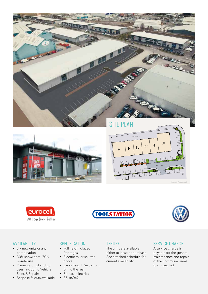







Not to scale - For reference only

#### AVAILABILITY

- Six new units or any combination
- 30% showroom, 70% warehouse

eurocell

All together better

- Planning for B1 and B8 uses, including Vehicle Sales & Repairs
- Bespoke fit outs available

#### **SPECIFICATION**

- Full height glazed frontages
- Electric roller shutter doors
- Eaves height 7m to front, 6m to the rear
- 3 phase electrics
- $35 km/m2$

#### **TENURE**

The units are available either to lease or purchase. See attached schedule for current availability.

**FULLEULLE** 

 $111111111111$ 

HHHHHH

#### SERVICE CHARGE

Access road

**CLULLULLI** 

A service charge is payable for the general maintenance and repair of the communal areas (plot specific).